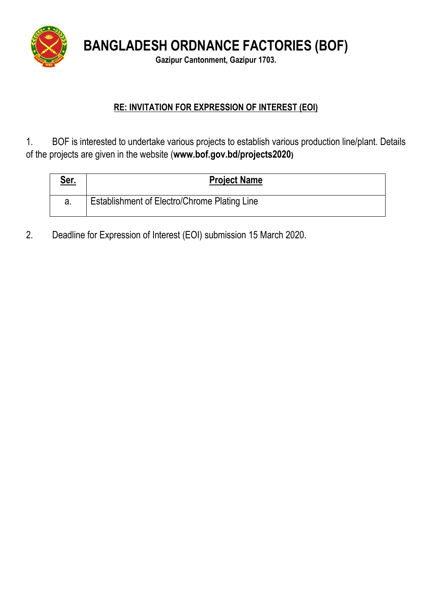

**BANGLADESH ORDNANCE FACTORIES (BOF)**

**Gazipur Cantonment, Gazipur 1703.**

## **RE: INVITATION FOR EXPRESSION OF INTEREST (EOI)**

1. BOF is interested to undertake various projects to establish various production line/plant. Details of the projects are given in the website (**www.bof.gov.bd/projects2020)**

| <u>Ser.</u> | <b>Project Name</b>                          |
|-------------|----------------------------------------------|
|             | Establishment of Electro/Chrome Plating Line |

2. Deadline for Expression of Interest (EOI) submission 15 March 2020.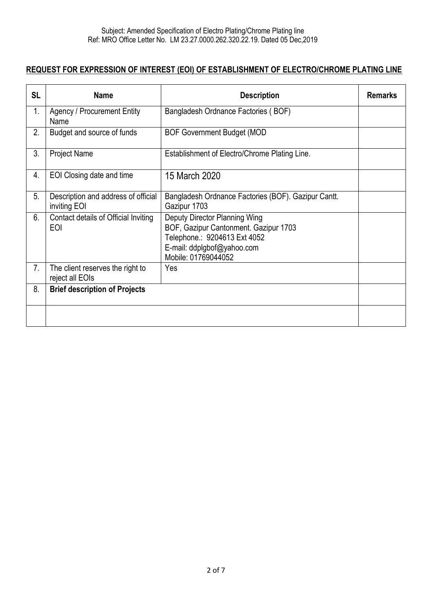## **REQUEST FOR EXPRESSION OF INTEREST (EOI) OF ESTABLISHMENT OF ELECTRO/CHROME PLATING LINE**

| <b>SL</b>      | <b>Name</b>                                         | <b>Description</b>                                                                                                                                          | <b>Remarks</b> |
|----------------|-----------------------------------------------------|-------------------------------------------------------------------------------------------------------------------------------------------------------------|----------------|
| 1.             | <b>Agency / Procurement Entity</b><br>Name          | Bangladesh Ordnance Factories (BOF)                                                                                                                         |                |
| 2.             | Budget and source of funds                          | <b>BOF Government Budget (MOD</b>                                                                                                                           |                |
| 3.             | <b>Project Name</b>                                 | Establishment of Electro/Chrome Plating Line.                                                                                                               |                |
| 4.             | EOI Closing date and time                           | 15 March 2020                                                                                                                                               |                |
| 5 <sub>1</sub> | Description and address of official<br>inviting EOI | Bangladesh Ordnance Factories (BOF). Gazipur Cantt.<br>Gazipur 1703                                                                                         |                |
| 6.             | Contact details of Official Inviting<br><b>EOI</b>  | Deputy Director Planning Wing<br>BOF, Gazipur Cantonment. Gazipur 1703<br>Telephone.: 9204613 Ext 4052<br>E-mail: ddplgbof@yahoo.com<br>Mobile: 01769044052 |                |
| 7.             | The client reserves the right to<br>reject all EOIs | Yes                                                                                                                                                         |                |
| 8.             | <b>Brief description of Projects</b>                |                                                                                                                                                             |                |
|                |                                                     |                                                                                                                                                             |                |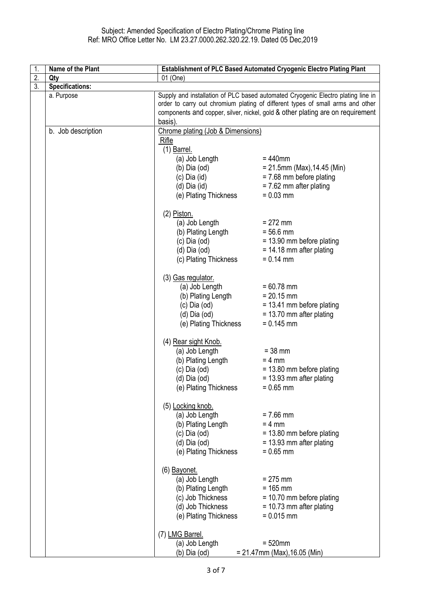| 1. | Name of the Plant      | Establishment of PLC Based Automated Cryogenic Electro Plating Plant |                                                                                                                                                                    |
|----|------------------------|----------------------------------------------------------------------|--------------------------------------------------------------------------------------------------------------------------------------------------------------------|
| 2. | Qty                    | 01 (One)                                                             |                                                                                                                                                                    |
| 3. | <b>Specifications:</b> |                                                                      |                                                                                                                                                                    |
|    | a. Purpose             |                                                                      | Supply and installation of PLC based automated Cryogenic Electro plating line in<br>order to carry out chromium plating of different types of small arms and other |
|    |                        |                                                                      | components and copper, silver, nickel, gold & other plating are on requirement                                                                                     |
|    |                        | basis).                                                              |                                                                                                                                                                    |
|    | b. Job description     | Chrome plating (Job & Dimensions)<br>Rifle                           |                                                                                                                                                                    |
|    |                        | $(1)$ Barrel.                                                        |                                                                                                                                                                    |
|    |                        | (a) Job Length                                                       | $= 440$ mm                                                                                                                                                         |
|    |                        | $(b)$ Dia $(od)$                                                     | $= 21.5$ mm (Max), 14.45 (Min)                                                                                                                                     |
|    |                        | $(c)$ Dia $(id)$                                                     | $= 7.68$ mm before plating                                                                                                                                         |
|    |                        | $(d)$ Dia $(id)$                                                     | $= 7.62$ mm after plating                                                                                                                                          |
|    |                        | (e) Plating Thickness                                                | $= 0.03$ mm                                                                                                                                                        |
|    |                        | $(2)$ Piston.                                                        |                                                                                                                                                                    |
|    |                        | (a) Job Length                                                       | $= 272$ mm<br>$= 56.6$ mm                                                                                                                                          |
|    |                        | (b) Plating Length<br>(c) Dia (od)<br>(d) Dia (od)                   | = 13.90 mm before plating                                                                                                                                          |
|    |                        |                                                                      | $= 14.18$ mm after plating                                                                                                                                         |
|    |                        | (c) Plating Thickness                                                | $= 0.14$ mm                                                                                                                                                        |
|    |                        | (3) Gas regulator.                                                   |                                                                                                                                                                    |
|    |                        | (a) Job Length                                                       | $= 60.78$ mm                                                                                                                                                       |
|    |                        |                                                                      | $= 20.15$ mm<br>= 13.41 mm before plating                                                                                                                          |
|    |                        | (b) Plating Length<br>(c) Dia (od)<br>(d) Dia (od)                   | $= 13.70$ mm after plating                                                                                                                                         |
|    |                        | (e) Plating Thickness                                                | $= 0.145$ mm                                                                                                                                                       |
|    |                        | (4) Rear sight Knob.                                                 |                                                                                                                                                                    |
|    |                        | (a) Job Length                                                       | $= 38$ mm                                                                                                                                                          |
|    |                        | (b) Plating Length<br>(c) Dia (od)                                   | $= 4$ mm                                                                                                                                                           |
|    |                        | $(d)$ Dia $(od)$                                                     | $= 13.80$ mm before plating<br>$= 13.93$ mm after plating                                                                                                          |
|    |                        | (e) Plating Thickness                                                | $= 0.65$ mm                                                                                                                                                        |
|    |                        | (5) Locking knob.                                                    |                                                                                                                                                                    |
|    |                        | (a) Job Length                                                       | $= 7.66$ mm                                                                                                                                                        |
|    |                        | (b) Plating Length                                                   | $= 4$ mm                                                                                                                                                           |
|    |                        | $(c)$ Dia $(od)$<br>$(d)$ Dia $(od)$                                 | = 13.80 mm before plating<br>$= 13.93$ mm after plating                                                                                                            |
|    |                        | (e) Plating Thickness                                                | $= 0.65$ mm                                                                                                                                                        |
|    |                        | (6) Bayonet.                                                         |                                                                                                                                                                    |
|    |                        | (a) Job Length                                                       | $= 275$ mm                                                                                                                                                         |
|    |                        | (b) Plating Length                                                   | $= 165$ mm                                                                                                                                                         |
|    |                        | (c) Job Thickness                                                    | $= 10.70$ mm before plating                                                                                                                                        |
|    |                        | (d) Job Thickness<br>(e) Plating Thickness                           | $= 10.73$ mm after plating<br>$= 0.015$ mm                                                                                                                         |
|    |                        | (7) LMG Barrel.                                                      |                                                                                                                                                                    |
|    |                        | (a) Job Length                                                       | $= 520$ mm                                                                                                                                                         |
|    |                        | (b) Dia (od)                                                         | $= 21.47$ mm (Max), 16.05 (Min)                                                                                                                                    |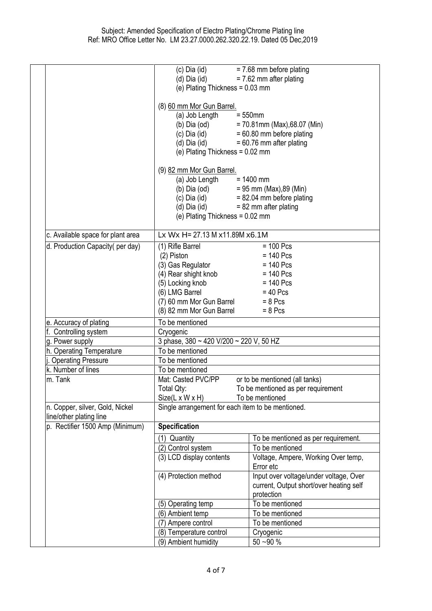|                                                            | $(c)$ Dia $(id)$                                  | $= 7.68$ mm before plating              |
|------------------------------------------------------------|---------------------------------------------------|-----------------------------------------|
|                                                            | (d) Dia (id)                                      | $= 7.62$ mm after plating               |
|                                                            | (e) Plating Thickness = 0.03 mm                   |                                         |
|                                                            |                                                   |                                         |
|                                                            | (8) 60 mm Mor Gun Barrel.                         |                                         |
|                                                            | (a) Job Length                                    | $= 550$ mm                              |
|                                                            | (b) Dia (od)                                      | $= 70.81$ mm (Max), 68.07 (Min)         |
|                                                            | (c) Dia (id)                                      | $= 60.80$ mm before plating             |
|                                                            | $(d)$ Dia $(id)$                                  | $= 60.76$ mm after plating              |
|                                                            | (e) Plating Thickness = $0.02$ mm                 |                                         |
|                                                            | (9) 82 mm Mor Gun Barrel.                         |                                         |
|                                                            | (a) Job Length                                    | $= 1400$ mm                             |
|                                                            |                                                   | $= 95$ mm (Max), 89 (Min)               |
|                                                            | (b) Dia (od)<br>(c) Dia (id)<br>(d) Die (id)      | $= 82.04$ mm before plating             |
|                                                            | (d) Dia (id)                                      | $= 82$ mm after plating                 |
|                                                            | (e) Plating Thickness = $0.02$ mm                 |                                         |
| c. Available space for plant area                          | Lx Wx H= 27.13 M x11.89M x6.1M                    |                                         |
| d. Production Capacity(per day)                            | (1) Rifle Barrel                                  | $= 100$ Pcs                             |
|                                                            | (2) Piston                                        | $= 140$ Pcs                             |
|                                                            | (3) Gas Regulator                                 | $= 140$ Pcs                             |
|                                                            | (4) Rear shight knob                              | $= 140$ Pcs                             |
|                                                            | (5) Locking knob                                  | $= 140$ Pcs                             |
|                                                            | (6) LMG Barrel                                    | $= 40$ Pcs                              |
|                                                            | (7) 60 mm Mor Gun Barrel                          | $= 8$ Pcs                               |
|                                                            | (8) 82 mm Mor Gun Barrel                          | $= 8$ Pcs                               |
| e. Accuracy of plating                                     | To be mentioned                                   |                                         |
| f. Controlling system                                      | Cryogenic                                         |                                         |
| g. Power supply                                            | 3 phase, 380 ~ 420 V/200 ~ 220 V, 50 HZ           |                                         |
| h. Operating Temperature                                   | To be mentioned                                   |                                         |
| <b>Operating Pressure</b>                                  | To be mentioned                                   |                                         |
| k. Number of lines                                         | To be mentioned                                   |                                         |
| m. Tank                                                    | Mat: Casted PVC/PP                                | or to be mentioned (all tanks)          |
|                                                            | Total Qty:                                        | To be mentioned as per requirement      |
|                                                            | Size(L x W x H)                                   | To be mentioned                         |
| n. Copper, silver, Gold, Nickel<br>line/other plating line | Single arrangement for each item to be mentioned. |                                         |
| p. Rectifier 1500 Amp (Minimum)                            | <b>Specification</b>                              |                                         |
|                                                            | Quantity<br>(1)                                   | To be mentioned as per requirement.     |
|                                                            | (2) Control system                                | To be mentioned                         |
|                                                            | (3) LCD display contents                          | Voltage, Ampere, Working Over temp,     |
|                                                            |                                                   | Error etc                               |
|                                                            | (4) Protection method                             | Input over voltage/under voltage, Over  |
|                                                            |                                                   | current, Output short/over heating self |
|                                                            |                                                   | protection                              |
|                                                            | (5) Operating temp                                | To be mentioned                         |
|                                                            | (6) Ambient temp                                  | To be mentioned                         |
|                                                            | (7) Ampere control                                | To be mentioned                         |
|                                                            | (8) Temperature control                           | Cryogenic                               |
|                                                            | (9) Ambient humidity                              | $50 - 90 %$                             |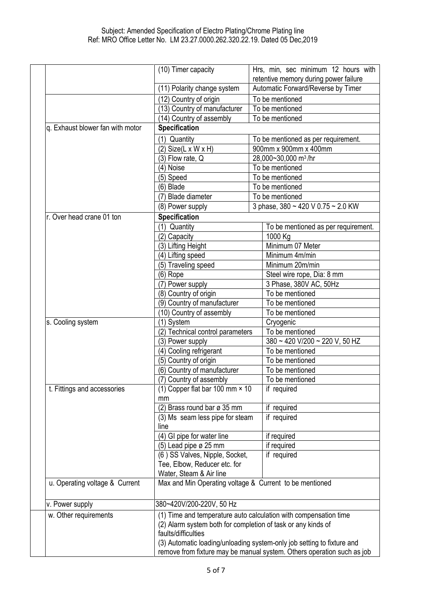|                                  | (10) Timer capacity                                                    | Hrs, min, sec minimum 12 hours with                                    |  |
|----------------------------------|------------------------------------------------------------------------|------------------------------------------------------------------------|--|
|                                  |                                                                        | retentive memory during power failure                                  |  |
|                                  | (11) Polarity change system                                            | Automatic Forward/Reverse by Timer                                     |  |
|                                  | (12) Country of origin                                                 | To be mentioned                                                        |  |
|                                  | (13) Country of manufacturer                                           | To be mentioned                                                        |  |
|                                  | (14) Country of assembly                                               | To be mentioned                                                        |  |
| q. Exhaust blower fan with motor | <b>Specification</b>                                                   |                                                                        |  |
|                                  | (1) Quantity                                                           | To be mentioned as per requirement.                                    |  |
|                                  | $(2)$ Size(L x W x H)                                                  | 900mm x 900mm x 400mm                                                  |  |
|                                  | (3) Flow rate, Q                                                       | 28,000~30,000 m <sup>3</sup> /hr                                       |  |
|                                  | (4) Noise                                                              | To be mentioned                                                        |  |
|                                  | (5) Speed                                                              | To be mentioned                                                        |  |
|                                  | (6) Blade                                                              | To be mentioned                                                        |  |
|                                  | (7) Blade diameter                                                     | To be mentioned                                                        |  |
|                                  | (8) Power supply                                                       | 3 phase, 380 ~ 420 V 0.75 ~ 2.0 KW                                     |  |
| r. Over head crane 01 ton        | <b>Specification</b>                                                   |                                                                        |  |
|                                  | (1) Quantity                                                           | To be mentioned as per requirement.                                    |  |
|                                  | (2) Capacity                                                           | 1000 Kg                                                                |  |
|                                  | (3) Lifting Height                                                     | Minimum 07 Meter                                                       |  |
|                                  | (4) Lifting speed                                                      | Minimum 4m/min                                                         |  |
|                                  | (5) Traveling speed                                                    | Minimum 20m/min                                                        |  |
|                                  | (6) Rope                                                               | Steel wire rope, Dia: 8 mm                                             |  |
|                                  | (7) Power supply                                                       | 3 Phase, 380V AC, 50Hz                                                 |  |
|                                  | (8) Country of origin                                                  | To be mentioned                                                        |  |
|                                  | (9) Country of manufacturer                                            | To be mentioned                                                        |  |
|                                  | (10) Country of assembly                                               | To be mentioned                                                        |  |
| s. Cooling system                | (1) System                                                             | Cryogenic                                                              |  |
|                                  | (2) Technical control parameters                                       | To be mentioned                                                        |  |
|                                  | (3) Power supply                                                       | 380 ~ 420 V/200 ~ 220 V, 50 HZ                                         |  |
|                                  | (4) Cooling refrigerant                                                | To be mentioned                                                        |  |
|                                  | (5) Country of origin                                                  | To be mentioned                                                        |  |
|                                  | (6) Country of manufacturer                                            | To be mentioned                                                        |  |
|                                  | (7) Country of assembly                                                | To be mentioned                                                        |  |
| t. Fittings and accessories      | (1) Copper flat bar 100 mm × 10                                        | if required                                                            |  |
|                                  | mm                                                                     |                                                                        |  |
|                                  | (2) Brass round bar ø 35 mm                                            | if required                                                            |  |
|                                  | (3) Ms seam less pipe for steam                                        | if required                                                            |  |
|                                  | line                                                                   |                                                                        |  |
|                                  | (4) GI pipe for water line                                             | if required                                                            |  |
|                                  | (5) Lead pipe ø 25 mm                                                  | if required                                                            |  |
|                                  | (6) SS Valves, Nipple, Socket,                                         | if required                                                            |  |
|                                  | Tee, Elbow, Reducer etc. for                                           |                                                                        |  |
|                                  | Water, Steam & Air line                                                |                                                                        |  |
| u. Operating voltage & Current   | Max and Min Operating voltage & Current to be mentioned                |                                                                        |  |
| v. Power supply                  | 380~420V/200-220V, 50 Hz                                               |                                                                        |  |
| w. Other requirements            |                                                                        | (1) Time and temperature auto calculation with compensation time       |  |
|                                  | (2) Alarm system both for completion of task or any kinds of           |                                                                        |  |
|                                  | faults/difficulties                                                    |                                                                        |  |
|                                  | (3) Automatic loading/unloading system-only job setting to fixture and |                                                                        |  |
|                                  |                                                                        | remove from fixture may be manual system. Others operation such as job |  |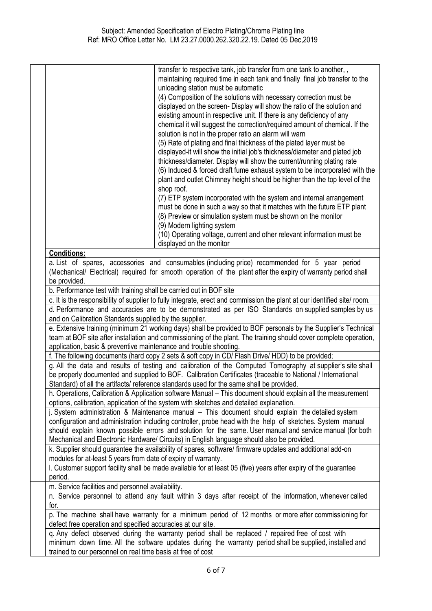|                                                                                                                                                                                               | transfer to respective tank, job transfer from one tank to another,,<br>maintaining required time in each tank and finally final job transfer to the |  |
|-----------------------------------------------------------------------------------------------------------------------------------------------------------------------------------------------|------------------------------------------------------------------------------------------------------------------------------------------------------|--|
|                                                                                                                                                                                               | unloading station must be automatic                                                                                                                  |  |
|                                                                                                                                                                                               | (4) Composition of the solutions with necessary correction must be                                                                                   |  |
|                                                                                                                                                                                               | displayed on the screen- Display will show the ratio of the solution and                                                                             |  |
|                                                                                                                                                                                               | existing amount in respective unit. If there is any deficiency of any                                                                                |  |
|                                                                                                                                                                                               | chemical it will suggest the correction/required amount of chemical. If the                                                                          |  |
|                                                                                                                                                                                               | solution is not in the proper ratio an alarm will warn                                                                                               |  |
|                                                                                                                                                                                               | (5) Rate of plating and final thickness of the plated layer must be                                                                                  |  |
|                                                                                                                                                                                               | displayed-it will show the initial job's thickness/diameter and plated job                                                                           |  |
|                                                                                                                                                                                               | thickness/diameter. Display will show the current/running plating rate                                                                               |  |
|                                                                                                                                                                                               | (6) Induced & forced draft fume exhaust system to be incorporated with the                                                                           |  |
|                                                                                                                                                                                               | plant and outlet Chimney height should be higher than the top level of the                                                                           |  |
|                                                                                                                                                                                               | shop roof.                                                                                                                                           |  |
|                                                                                                                                                                                               | (7) ETP system incorporated with the system and internal arrangement                                                                                 |  |
|                                                                                                                                                                                               | must be done in such a way so that it matches with the future ETP plant                                                                              |  |
|                                                                                                                                                                                               | (8) Preview or simulation system must be shown on the monitor                                                                                        |  |
|                                                                                                                                                                                               | (9) Modern lighting system                                                                                                                           |  |
|                                                                                                                                                                                               | (10) Operating voltage, current and other relevant information must be                                                                               |  |
|                                                                                                                                                                                               | displayed on the monitor                                                                                                                             |  |
| <b>Conditions:</b>                                                                                                                                                                            |                                                                                                                                                      |  |
|                                                                                                                                                                                               | a. List of spares, accessories and consumables (including price) recommended for 5 year period                                                       |  |
|                                                                                                                                                                                               | (Mechanical/ Electrical) required for smooth operation of the plant after the expiry of warranty period shall                                        |  |
| be provided.                                                                                                                                                                                  |                                                                                                                                                      |  |
| b. Performance test with training shall be carried out in BOF site<br>c. It is the responsibility of supplier to fully integrate, erect and commission the plant at our identified site/room. |                                                                                                                                                      |  |
|                                                                                                                                                                                               |                                                                                                                                                      |  |
| d. Performance and accuracies are to be demonstrated as per ISO Standards on supplied samples by us                                                                                           |                                                                                                                                                      |  |
| and on Calibration Standards supplied by the supplier.<br>e. Extensive training (minimum 21 working days) shall be provided to BOF personals by the Supplier's Technical                      |                                                                                                                                                      |  |
| team at BOF site after installation and commissioning of the plant. The training should cover complete operation,                                                                             |                                                                                                                                                      |  |
| application, basic & preventive maintenance and trouble shooting.                                                                                                                             |                                                                                                                                                      |  |
| f. The following documents (hard copy 2 sets & soft copy in CD/ Flash Drive/ HDD) to be provided;                                                                                             |                                                                                                                                                      |  |
| g. All the data and results of testing and calibration of the Computed Tomography at supplier's site shall                                                                                    |                                                                                                                                                      |  |
|                                                                                                                                                                                               | be properly documented and supplied to BOF. Calibration Certificates (traceable to National / International                                          |  |
|                                                                                                                                                                                               | Standard) of all the artifacts/ reference standards used for the same shall be provided.                                                             |  |
| h. Operations, Calibration & Application software Manual - This document should explain all the measurement                                                                                   |                                                                                                                                                      |  |
| options, calibration, application of the system with sketches and detailed explanation.                                                                                                       |                                                                                                                                                      |  |
| j. System administration & Maintenance manual - This document should explain the detailed system                                                                                              |                                                                                                                                                      |  |
| configuration and administration including controller, probe head with the help of sketches. System manual                                                                                    |                                                                                                                                                      |  |
| should explain known possible errors and solution for the same. User manual and service manual (for both                                                                                      |                                                                                                                                                      |  |
| Mechanical and Electronic Hardware/ Circuits) in English language should also be provided.                                                                                                    |                                                                                                                                                      |  |
| k. Supplier should guarantee the availability of spares, software/ firmware updates and additional add-on                                                                                     |                                                                                                                                                      |  |
| modules for at-least 5 years from date of expiry of warranty.                                                                                                                                 |                                                                                                                                                      |  |
|                                                                                                                                                                                               | I. Customer support facility shall be made available for at least 05 (five) years after expiry of the guarantee                                      |  |
| period.                                                                                                                                                                                       |                                                                                                                                                      |  |
| m. Service facilities and personnel availability.                                                                                                                                             |                                                                                                                                                      |  |
|                                                                                                                                                                                               | n. Service personnel to attend any fault within 3 days after receipt of the information, whenever called                                             |  |
| for.                                                                                                                                                                                          |                                                                                                                                                      |  |
|                                                                                                                                                                                               | p. The machine shall have warranty for a minimum period of 12 months or more after commissioning for                                                 |  |
| defect free operation and specified accuracies at our site.                                                                                                                                   |                                                                                                                                                      |  |
|                                                                                                                                                                                               | q. Any defect observed during the warranty period shall be replaced / repaired free of cost with                                                     |  |
| trained to our personnel on real time basis at free of cost                                                                                                                                   | minimum down time. All the software updates during the warranty period shall be supplied, installed and                                              |  |
|                                                                                                                                                                                               |                                                                                                                                                      |  |